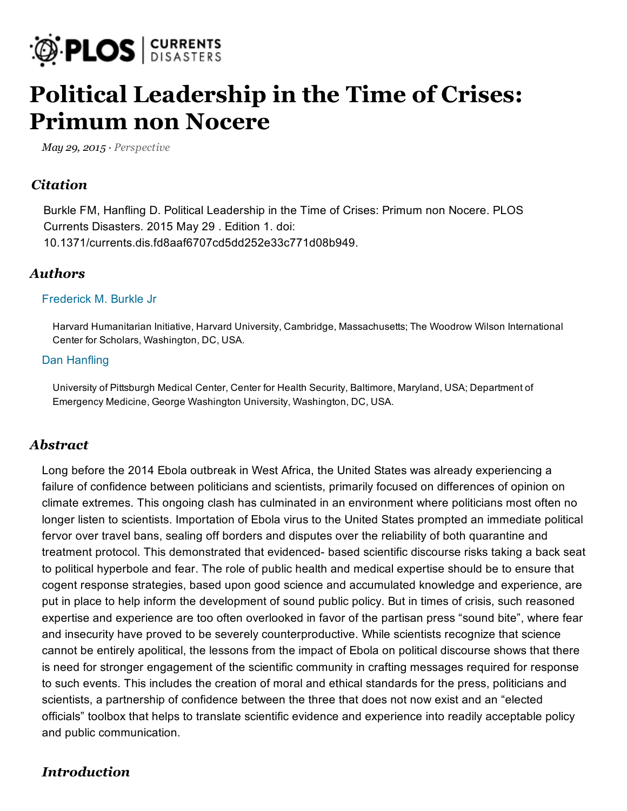

# [Political](https://twitter.com/RefugeeStudyBot) [Leadership](http://currents.plos.org/disasters/article/political-leadership-in-the-time-of-crises-primum-non-nocere/) in the Time of Crises: [Primum](http://t.co/uNGZmRL1Qk) non Nocere

May 29, 2015 · [Perspective](http://currents.plos.org/disasters/article_category/perspective/)

## **[Citation](http://t.co/UT3JduJ7Mv)**

Burkle FM, Hanfling D. Political Leadership in the Time of Crises: Pri[mum](mailto:?subject=Political%20Leadership%20in%20the%20Time%E2%80%A6&body=Long%20before%20the%202014%20Ebola%20outbreak%20in%20West%20Africa,%20the%E2%80%A6%0A%0A%20http%3A%2F%2Fcurrents.plos.org%2Fdisasters%2Farticle%2Fpolitical-leadership-in-the-time-of-crises-primum-non-nocere%2F) non [Nocere.](https://twitter.com/intent/tweet?original_referer=http%3A%2F%2Fcurrents.plos.org%2Fdisasters%2Farticle%2Fpolitical-leadership-in-the-time-of-crises-primum-non-nocere%2F&text=Political%20Leadership%20in%20the%20Time%E2%80%A6&tw_p=tweetbutton&url=http%3A%2F%2Fcurrents.plos.org%2Fdisasters%2Farticle%2Fpolitical-leadership-in-the-time-of-crises-primum-non-nocere%2F) PLOS [Curren](https://twitter.com/unisdr)[ts](http://currents.plos.org/disasters/article/political-leadership-in-the-time-of-crises-primum-non-nocere/xml/) [Disasters.](https://twitter.com/COMIR_UCV) [2015](https://twitter.com/redsolidaridadc) May 29 . Edition 1. doi: [10.137](https://twitter.com/gndr)1/curr[ents.dis.fd8aaf](https://twitter.com/leoparedesve)6707cd5dd252e33c771d08b949.

#### [Autho](https://twitter.com/Angelrangels/status/604357115420004354)rs

#### [Frederick](https://twitter.com/Angelrangels) M. Burkle Jr

Harvard Humanitarian Initiative, Harvard University, Cambridge, [Massachusetts;](http://t.co/UT3JduJ7Mv) The Woodrow Wilson International Center for Scholars, [Washington,](https://twitter.com/redsolidaridadc) DC, USA.

#### [Dan](https://twitter.com/gndr) [Hanfling](http://currents.plos.org/disasters/author/hanflda/)

[Univ](https://twitter.com/Angelrangels/status/604357115420004354)ersity of Pittsburgh Medical Center, Center [for](https://twitter.com/intent/tweet?in_reply_to=604357115420004354) [Hea](https://twitter.com/intent/retweet?tweet_id=604357115420004354)lth Security, Baltimore, Maryland, USA; Department of [Emergency](https://twitter.com/BioAndBaseball) Medicine, George Washington [Un](https://twitter.com/BioAndBaseball/status/604347510556090368)iversity, Washington, DC, USA.

#### [Abstract](http://t.co/iWvTlhTD6r)

Long before the 2014 Ebola outbreak in [West](https://twitter.com/intent/tweet?in_reply_to=604347510556090368) Africa, the United States was already experiencing a failure of [confidenc](https://twitter.com/plosc_disasters)e between politician[s](https://twitter.com/plosc_disasters/status/604338719257022464) and scientists, primarily focused on differences of opinion on climate [extremes.](https://twitter.com/intent/tweet?hashtags=plosc_disasters) This ongoing clash has culminated in an environment where politicians most often no longer listen to scientists. [Importation](http://t.co/wqWFrl28PN) of Ebola virus to the United States prompted an immediate political [fervor](https://twitter.com/hashtag/ebola?src=hash) over travel bans, sealing off borders and disputes over the reliability of both quarantine and [treatm](https://twitter.com/plosc_disasters/status/604338719257022464)ent protocol. This demonstrated that evidenced- based scientific discourse risks taking a back seat to political hyperbole and fear. The role of [pu](https://twitter.com/intent/tweet?in_reply_to=604338719257022464)[blic](https://twitter.com/intent/favorite?tweet_id=604338719257022464) health and medical expertise should be to ensure that cogent [response](https://twitter.com/plosc_disasters) strategies, based [upon](https://twitter.com/plosc_disasters/status/598977971286716416) good science and accumulated knowledge and experience, are put in place to help inform the development of sound public policy. But in times of crisis, such reasoned expertise and experience are too often overlooked in favor of the partisan press "sound bite", where fear and insecurity have proved to be severely [counterproductive.](http://t.co/uTqv8Kbjnq) While scientists recognize that science cannot be entirely apolitical, the lessons from the impact of Ebola on political discourse shows that there is need for str[ong](https://twitter.com/EwFProject)er engagement of the scientific community in crafting messages required for response to [suc](https://twitter.com/plosc_disasters/status/598977971286716416)h events. This includes the creation of moral and ethical standards for the press, politicians and scientists, a partnership of confidence be[tween](https://twitter.com/intent/retweet?tweet_id=604012599286579200) the three that does not now exist and an "elected [officials"](https://twitter.com/plosc_disasters) toolbox that helps to transl[ate](https://twitter.com/plosc_disasters/status/598977971286716416) scientific evidence and experience into readily acceptable policy and public communication.

## **[Introduction](http://t.co/uTqv8Kbjnq)**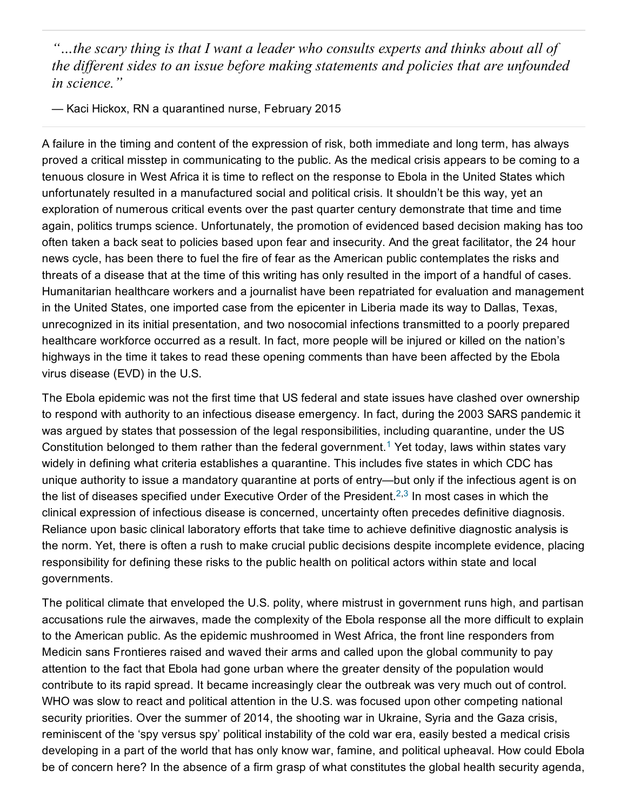"…the scary [thing](https://twitter.com/MBudimir) is that I want a leader who consults experts and thinks about all of [the](https://twitter.com/plosc_disasters/status/598977971286716416) different sides to an issue before [mak](https://twitter.com/intent/retweet?tweet_id=603949519399714817)ing statements and policies that are unfounded in [science."](http://t.co/uTqv8Kbjnq)

— Kaci Hickox, RN a quarantined nurse, February 2015

A failure in the timing and content of the expression of risk, both immediate and long term, has always proved a critical [misstep](https://twitter.com/GenderingRisk) in communicating to the public. As the medical crisis appears to be coming to a tenuous closure in West Africa it is time to reflect on the response to Ebola in the United States which [unfor](https://twitter.com/plosc_disasters/status/598977971286716416)tunately resulted in a manufactured [social](https://twitter.com/intent/favorite?tweet_id=603924299506950144) and political crisis. It shouldn't be this way, yet an [exploration](https://twitter.com/plosc_disasters) of numerous critical ev[ents](https://twitter.com/plosc_disasters/status/598977971286716416) over the past quarter century demonstrate that time and time again, politics trumps science. [Unfortunately,](http://t.co/uTqv8Kbjnq) the promotion of evidenced based decision making has too often taken a back seat to policies based upon fear and insecurity. And the great facilitator, the 24 hour news cycle, has been there to fuel the fire of fear as the American public contemplates the risks and threats of a disease that at the time of this writing has only resulted in the import of a handful of cases. Humanitarian [healthcare](https://twitter.com/MHuntMcGill) workers and a journalist have been repatriated for evaluation and management in [the](https://twitter.com/plosc_disasters/status/598977971286716416) United States, one imported case from the epicenter in Liberia made its way to Dallas, Texas, unrecognized in its initial presentation, and [tw](https://twitter.com/intent/tweet?in_reply_to=603900340157751296)[o](https://twitter.com/intent/retweet?tweet_id=603900340157751296) nosocomial infections transmitted to a poorly prepared [healthcare](http://t.co/as4zP8rTpn) workforce occurred as a [result](https://twitter.com/SandroDemaio/status/603016373271396352). In fact, more people will be injured or killed on the nation's highways in the time it takes to read these opening comments than have been affected by the Ebola virus [disease](https://twitter.com/Rachael_Purcell) [\(EVD\)](https://twitter.com/yourAMSA) in the [U.S.](https://twitter.com/NCDFREE)

The Ebola epidemic was not the first time that US federal and state issues have clashed over ownership to [respond](https://twitter.com/hashtag/ruralhealthconf?src=hash) with [authority](https://twitter.com/Rachael_Purcell) to an infectious disease emergency. In fact, during the 2003 SARS pandemic it was argued by states that possession of the legal responsibilities, including quarantine, under the US [Cons](https://twitter.com/SandroDemaio/status/603016373271396352)titution belonged to [the](https://twitter.com/intent/retweet?tweet_id=603335205676404736)m rather than the federal government.<sup>[1](#page-5-1)</sup> Yet today, laws within states vary widely in defining what criteria [establishes](http://t.co/as4zP8rTpn) a quarantine. This includes five states in which CDC has unique [authority](https://twitter.com/SandroDemaio) to issue a mandatory quarantine at ports of entry—but only if the infectious agent is on the list of [disea](https://twitter.com/Rachael_Purcell)ses [specifi](https://twitter.com/yourAMSA)ed [under](https://twitter.com/NCDFREE) Executive Order of the President.<sup>[2,](#page-5-0)[3](#page-5-2)</sup> In most cases in which the clinical expression of infectious disease is concerned, uncertainty often precedes definitive diagnosis. [Reliance](https://twitter.com/hashtag/ruralhealthconf?src=hash) upon basic clinical laboratory efforts that take time to achieve definitive diagnostic analysis is the norm. Yet, [there](https://twitter.com/plosc_disasters) is often a rush to make crucial public decisions despite incomplete evidence, placing [respo](https://twitter.com/SandroDemaio/status/603016373271396352)nsibility for defining these risks to the public health on political actors within state and local governments.

The [political](https://twitter.com/dheeyarizmie) climate that enveloped [the](https://twitter.com/dheeyarizmie/status/603308042642268160) U.S. polity, where mistrust in government runs high, and partisan accusations rule the airwaves, made the complexity of the Ebola response all the more difficult to explain to the [Ameri](https://twitter.com/hashtag/globalhealth?src=hash)[can](https://twitter.com/hashtag/syria?src=hash) p[ublic](https://twitter.com/hashtag/war?src=hash). As the [epidem](https://twitter.com/hashtag/humanitarianaid?src=hash)ic [mushroomed](http://t.co/vR8OjRkFeL) in West Africa, the front line responders from Medicin sans Frontieres raised and waved their arms and called upon the global community to pay attention to the fact that Ebola had gone [urba](https://twitter.com/intent/tweet?in_reply_to=603308042642268160)[n](https://twitter.com/intent/retweet?tweet_id=603308042642268160) where the greater density of the population would [contribute](https://twitter.com/AnnaCurnow1) to its rapid spread. It be[came](https://twitter.com/AnnaCurnow1/status/603172161797292032) [increasingly](http://t.co/pPXnBr84h0) clear the outbreak was very much out of control. WHO was slow to react and political attention in the U.S. was focused upon other competing national security priorities. Over the summer of 2014, the shooting war in Ukraine, Syria and the Gaza crisis, reminiscent of the 'spy versus spy' political instability of the cold war era, easily bested a medical crisis developing in a part of the world that has [only](https://twitter.com/intent/favorite?tweet_id=603172161797292032) know war, famine, and political upheaval. How could Ebola be of [concern](https://twitter.com/SandroDemaio) here? In the [absence](http://t.co/as4zP8rTpn) [of](https://twitter.com/SandroDemaio/status/603016373271396352) a firm grasp of what constitutes the global health security agenda,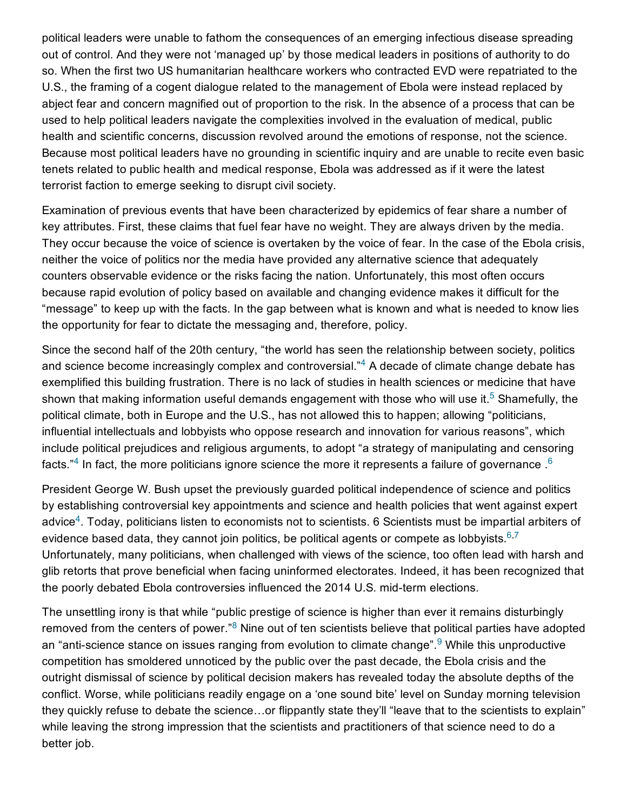[political](https://twitter.com/SandroDemaio) leaders were unable to fathom the consequences of an emerging infectious disease spreading out of [control.](https://twitter.com/Rachael_Purcell) And [they](https://twitter.com/yourAMSA) [were](https://twitter.com/NCDFREE) not 'managed up' by those medical leaders in positions of authority to do so. When the first two US [humanitarian](http://t.co/as4zP8rTpn) healthcare workers who contracted EVD were repatriated to the [U.S.,](https://twitter.com/hashtag/ruralhealthconf?src=hash) the framing of a cogent dialogue related to the management of Ebola were instead replaced by abject fear and [concern](https://twitter.com/ntizimira) magnified out of proportion to the risk. In the absence of a process that can be [used](https://twitter.com/SandroDemaio/status/603016373271396352) to help political leaders navigate the complexities involved in the evaluation of medical, public health and scientific concerns, discussion [revolve](https://twitter.com/intent/favorite?tweet_id=603073257059803138)d around the emotions of response, not the science. [Because](https://twitter.com/SandroDemaio) most political leaders have [no](https://twitter.com/SandroDemaio/status/603016373271396352) [grounding](http://t.co/as4zP8rTpn) in scientific inquiry and are unable to recite even basic tenets [related](https://twitter.com/Rachael_Purcell) to [public](https://twitter.com/yourAMSA) health and medical response, Ebola was addressed as if it were the latest terrorist faction to emerge [seeking](https://twitter.com/NCDFREE) to disrupt civil society.

[Examination](https://twitter.com/hashtag/ruralhealthconf?src=hash) of previous events that have been characterized by epidemics of fear share a number of key attributes. [First,](https://twitter.com/NCDFREE) these claims that fuel fear have no weight. They are always driven by the media. [They](https://twitter.com/SandroDemaio/status/603016373271396352) occur because the voice of science is overtaken by the voice of fear. In the case of the Ebola crisis, neither the voice of politics nor the media [hav](https://twitter.com/intent/tweet?in_reply_to=603016485041233920)[e](https://twitter.com/intent/favorite?tweet_id=603016485041233920) provided any alternative science that adequately counters [observable](https://twitter.com/SandroDemaio) evidence or the [risks](https://twitter.com/SandroDemaio/status/603016373271396352) facing the nation. Unfortunately, this most often occurs because rapid evolution of policy based on available and changing evidence makes it difficult for the ["message"](https://twitter.com/Rachael_Purcell) to [keep](https://twitter.com/yourAMSA) up with the [facts](https://twitter.com/NCDFREE). In the gap between what is known and what is needed to know lies the [opportunity](http://t.co/as4zP8rTpn) for fear to dictate the messaging and, therefore, policy.

[Since](https://twitter.com/hashtag/ruralhealthconf?src=hash) the second half of the 20th century, "the world has seen the relationship between society, politics [and](https://twitter.com/intent/retweet?tweet_id=603016373271396352) science become increasingly complex and controversial. $n<sup>4</sup>$  $n<sup>4</sup>$  $n<sup>4</sup>$  A decade of climate change debate has [exemplified](https://twitter.com/CarinaFearnley) this building frustration. [There](https://twitter.com/CarinaFearnley/status/602499923913867265) is no lack of studies in health sciences or medicine that have shown that making information useful demands engagement with those who will use it.<sup>[5](#page-5-7)</sup> Shamefully, the political climate, both in Europe and the U.S., has not allowed this to happen; allowing "politicians, influential intellectuals and lobbyists who oppose research and innovation for various reasons", which include political prejudices and religious arguments, to adopt "a strategy of [manipulating](http://t.co/VUMibsSqqz) and censoring facts."<sup>[4](#page-5-4)</sup> In fact, the more politicians ignore science the more it represents a failure of governance .<sup>[6](#page-5-3)</sup>

President George W. Bush upset the [prev](https://twitter.com/HazardEWS/status/602499923850960897)[iously](https://twitter.com/intent/favorite?tweet_id=602499923913867265) guarded political [independence](http://t.co/X2SfPpcR4M) of science and politics by [establishing](https://twitter.com/HazardEWS) controversial key appointments and science and health policies that went against expert advice<sup>[4](#page-5-4)</sup>. Today, politicians listen to economists not to scientists. 6 Scientists must be impartial arbiters of evidence based data, they cannot join politics, be political agents or compete as lobbyists.  $6,7$  $6,7$ Unfortunately, many politicians, when challenged with views of the science, too often lead with harsh and glib retorts that prove beneficial when facing uninformed electorates. Indeed, it has been recognized that the poorly debated Ebola controversies i[nfluence](https://twitter.com/intent/favorite?tweet_id=602499923850960897)d the 2014 U.S. mid-term elections.

The [unsettlin](https://twitter.com/UKCDS)g irony is that while "p[ublic](https://twitter.com/UKCDS/status/601660113678704640) prestige of science is higher than ever it remains disturbingly removed from the centers of power."<sup>[8](#page-5-6)</sup> Nine out of ten scientists believe that political parties have adopted an "anti-science stance on i[ssues](https://twitter.com/hashtag/DRR?src=hash) ranging from evolution to climate change".<sup>[9](#page-5-5)</sup> While this unproductive competition has [smolde](https://twitter.com/plosc_disasters)red unnoticed by the public over the past decade, the Ebola crisis and the outright dismissal of science by political [decision](https://twitter.com/intent/favorite?tweet_id=601660113678704640) makers has revealed today the absolute depths of the conflict. Worse, while politicians readily engage on a 'one sound bite' level on Sunday morning television they quickly refuse to debate the science…or flippantly state they'll "leave that to the scientists to explain" while leaving the strong impression that the scientists and practitioners of that science need to do a better job.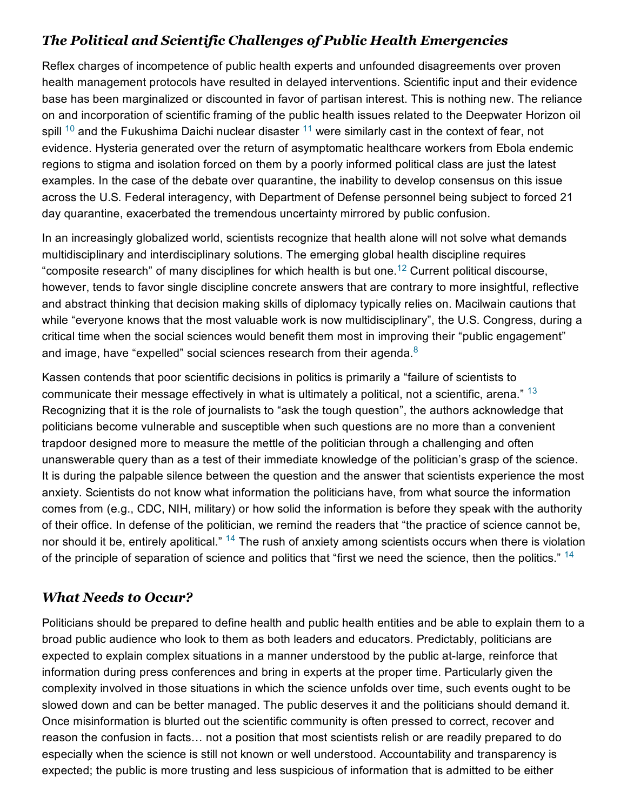## The Political and Scientific Challenges of Public Health Emergencies

Reflex charges of incompetence of public health experts and unfounded disagreements over proven health management protocols have resulted in delayed interventions. Scientific input and their evidence base has been marginalized or discounted in favor of partisan interest. This is nothing new. The reliance on and incorporation of scientific framing of the public health issues related to the Deepwater Horizon oil spill  $^{10}$  $^{10}$  $^{10}$  and the Fukushima Daichi nuclear disaster  $^{11}$  $^{11}$  $^{11}$  were similarly cast in the context of fear, not evidence. Hysteria generated over the return of asymptomatic healthcare workers from Ebola endemic regions to stigma and isolation forced on them by a poorly informed political class are just the latest examples. In the case of the debate over quarantine, the inability to develop consensus on this issue across the U.S. Federal interagency, with Department of Defense personnel being subject to forced 21 day quarantine, exacerbated the tremendous uncertainty mirrored by public confusion.

In an increasingly globalized world, scientists recognize that health alone will not solve what demands multidisciplinary and interdisciplinary solutions. The emerging global health discipline requires "composite research" of many disciplines for which health is but one.<sup>[12](#page-5-10)</sup> Current political discourse, however, tends to favor single discipline concrete answers that are contrary to more insightful, reflective and abstract thinking that decision making skills of diplomacy typically relies on. Macilwain cautions that while "everyone knows that the most valuable work is now multidisciplinary", the U.S. Congress, during a critical time when the social sciences would benefit them most in improving their "public engagement" and image, have "expelled" social sciences research from their agenda. $8$ 

Kassen contends that poor scientific decisions in politics is primarily a "failure of scientists to communicate their message effectively in what is ultimately a political, not a scientific, arena."  $^{13}$  $^{13}$  $^{13}$ Recognizing that it is the role of journalists to "ask the tough question", the authors acknowledge that politicians become vulnerable and susceptible when such questions are no more than a convenient trapdoor designed more to measure the mettle of the politician through a challenging and often unanswerable query than as a test of their immediate knowledge of the politician's grasp of the science. It is during the palpable silence between the question and the answer that scientists experience the most anxiety. Scientists do not know what information the politicians have, from what source the information comes from (e.g., CDC, NIH, military) or how solid the information is before they speak with the authority of their office. In defense of the politician, we remind the readers that "the practice of science cannot be, nor should it be, entirely apolitical." <sup>[14](#page-5-12)</sup> The rush of anxiety among scientists occurs when there is violation of the principle of separation of science and politics that "first we need the science, then the politics." <sup>[14](#page-5-12)</sup>

# What Needs to Occur?

Politicians should be prepared to define health and public health entities and be able to explain them to a broad public audience who look to them as both leaders and educators. Predictably, politicians are expected to explain complex situations in a manner understood by the public at-large, reinforce that information during press conferences and bring in experts at the proper time. Particularly given the complexity involved in those situations in which the science unfolds over time, such events ought to be slowed down and can be better managed. The public deserves it and the politicians should demand it. Once misinformation is blurted out the scientific community is often pressed to correct, recover and reason the confusion in facts… not a position that most scientists relish or are readily prepared to do especially when the science is still not known or well understood. Accountability and transparency is expected; the public is more trusting and less suspicious of information that is admitted to be either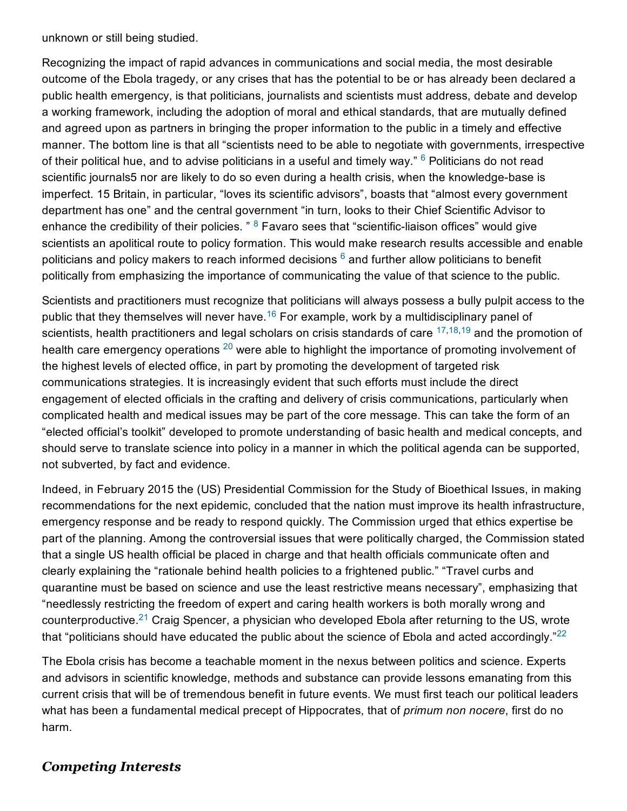unknown or still being studied.

Recognizing the impact of rapid advances in communications and social media, the most desirable outcome of the Ebola tragedy, or any crises that has the potential to be or has already been declared a public health emergency, is that politicians, journalists and scientists must address, debate and develop a working framework, including the adoption of moral and ethical standards, that are mutually defined and agreed upon as partners in bringing the proper information to the public in a timely and effective manner. The bottom line is that all "scientists need to be able to negotiate with governments, irrespective of their political hue, and to advise politicians in a useful and timely way."  $6$  Politicians do not read scientific journals5 nor are likely to do so even during a health crisis, when the knowledge-base is imperfect. 15 Britain, in particular, "loves its scientific advisors", boasts that "almost every government department has one" and the central government "in turn, looks to their Chief Scientific Advisor to enhance the credibility of their policies. "  $8$  Favaro sees that "scientific-liaison offices" would give scientists an apolitical route to policy formation. This would make research results accessible and enable politicians and policy makers to reach informed decisions  $6$  and further allow politicians to benefit politically from emphasizing the importance of communicating the value of that science to the public.

Scientists and practitioners must recognize that politicians will always possess a bully pulpit access to the public that they themselves will never have.<sup>[16](#page-5-16)</sup> For example, work by a multidisciplinary panel of scientists, health practitioners and legal scholars on crisis standards of care <sup>[17](#page-5-14)[,18](#page-5-15)[,19](#page-6-0)</sup> and the promotion of health care emergency operations  $^{20}$  $^{20}$  $^{20}$  were able to highlight the importance of promoting involvement of the highest levels of elected office, in part by promoting the development of targeted risk communications strategies. It is increasingly evident that such efforts must include the direct engagement of elected officials in the crafting and delivery of crisis communications, particularly when complicated health and medical issues may be part of the core message. This can take the form of an "elected official's toolkit" developed to promote understanding of basic health and medical concepts, and should serve to translate science into policy in a manner in which the political agenda can be supported, not subverted, by fact and evidence.

Indeed, in February 2015 the (US) Presidential Commission for the Study of Bioethical Issues, in making recommendations for the next epidemic, concluded that the nation must improve its health infrastructure, emergency response and be ready to respond quickly. The Commission urged that ethics expertise be part of the planning. Among the controversial issues that were politically charged, the Commission stated that a single US health official be placed in charge and that health officials communicate often and clearly explaining the "rationale behind health policies to a frightened public." "Travel curbs and quarantine must be based on science and use the least restrictive means necessary", emphasizing that "needlessly restricting the freedom of expert and caring health workers is both morally wrong and counterproductive.<sup>[21](#page-6-2)</sup> Craig Spencer, a physician who developed Ebola after returning to the US, wrote that "politicians should have educated the public about the science of Ebola and acted accordingly."<sup>[22](#page-6-3)</sup>

The Ebola crisis has become a teachable moment in the nexus between politics and science. Experts and advisors in scientific knowledge, methods and substance can provide lessons emanating from this current crisis that will be of tremendous benefit in future events. We must first teach our political leaders what has been a fundamental medical precept of Hippocrates, that of *primum non nocere*, first do no harm.

## Competing Interests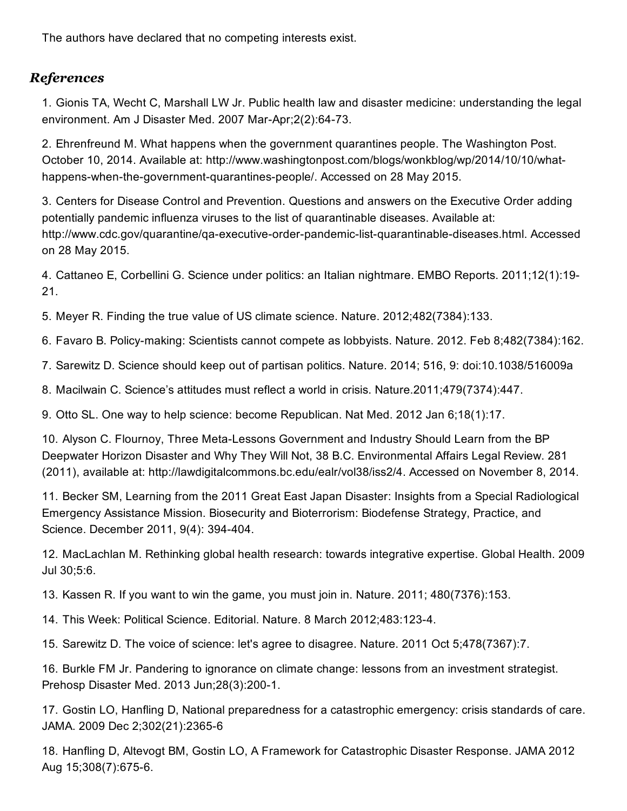The authors have declared that no competing interests exist.

## **References**

<span id="page-5-1"></span>1. Gionis TA, Wecht C, Marshall LW Jr. Public health law and disaster medicine: understanding the legal environment. Am J Disaster Med. 2007 Mar-Apr; 2(2): 64-73.

<span id="page-5-0"></span>2. Ehrenfreund M. What happens when the government quarantines people. The Washington Post. October 10, 2014. Available at: http://www.washingtonpost.com/blogs/wonkblog/wp/2014/10/10/whathappens-when-the-government-quarantines-people/. Accessed on 28 May 2015.

<span id="page-5-2"></span>3. Centers for Disease Control and Prevention. Questions and answers on the Executive Order adding potentially pandemic influenza viruses to the list of quarantinable diseases. Available at: http://www.cdc.gov/quarantine/qa-executive-order-pandemic-list-quarantinable-diseases.html. Accessed on 28 May 2015.

<span id="page-5-4"></span>4. Cattaneo E, Corbellini G. Science under politics: an Italian nightmare. EMBO Reports. 2011;12(1):19 21.

<span id="page-5-7"></span>5. Meyer R. Finding the true value of US climate science. Nature. 2012;482(7384):133.

<span id="page-5-3"></span>6. Favaro B. Policymaking: Scientists cannot compete as lobbyists. Nature. 2012. Feb 8;482(7384):162.

<span id="page-5-8"></span>7. Sarewitz D. Science should keep out of partisan politics. Nature. 2014; 516, 9: doi:10.1038/516009a

<span id="page-5-6"></span>8. Macilwain C. Science's attitudes must reflect a world in crisis. Nature.2011;479(7374):447.

<span id="page-5-5"></span>9. Otto SL. One way to help science: become Republican. Nat Med. 2012 Jan 6;18(1):17.

<span id="page-5-9"></span>10. Alyson C. Flournoy, Three Meta-Lessons Government and Industry Should Learn from the BP Deepwater Horizon Disaster and Why They Will Not, 38 B.C. Environmental Affairs Legal Review. 281 (2011), available at: http://lawdigitalcommons.bc.edu/ealr/vol38/iss2/4. Accessed on November 8, 2014.

<span id="page-5-11"></span>11. Becker SM, Learning from the 2011 Great East Japan Disaster: Insights from a Special Radiological Emergency Assistance Mission. Biosecurity and Bioterrorism: Biodefense Strategy, Practice, and Science. December 2011, 9(4): 394-404.

<span id="page-5-10"></span>12. MacLachlan M. Rethinking global health research: towards integrative expertise. Global Health. 2009 Jul 30;5:6.

<span id="page-5-13"></span>13. Kassen R. If you want to win the game, you must join in. Nature. 2011; 480(7376):153.

<span id="page-5-12"></span>14. This Week: Political Science. Editorial. Nature. 8 March 2012;483:1234.

15. Sarewitz D. The voice of science: let's agree to disagree. Nature. 2011 Oct 5;478(7367):7.

<span id="page-5-16"></span>16. Burkle FM Jr. Pandering to ignorance on climate change: lessons from an investment strategist. Prehosp Disaster Med. 2013 Jun; 28(3): 200-1.

<span id="page-5-14"></span>17. Gostin LO, Hanfling D, National preparedness for a catastrophic emergency: crisis standards of care. JAMA. 2009 Dec 2;302(21):2365-6

<span id="page-5-15"></span>18. Hanfling D, Altevogt BM, Gostin LO, A Framework for Catastrophic Disaster Response. JAMA 2012 Aug 15;308(7):675-6.